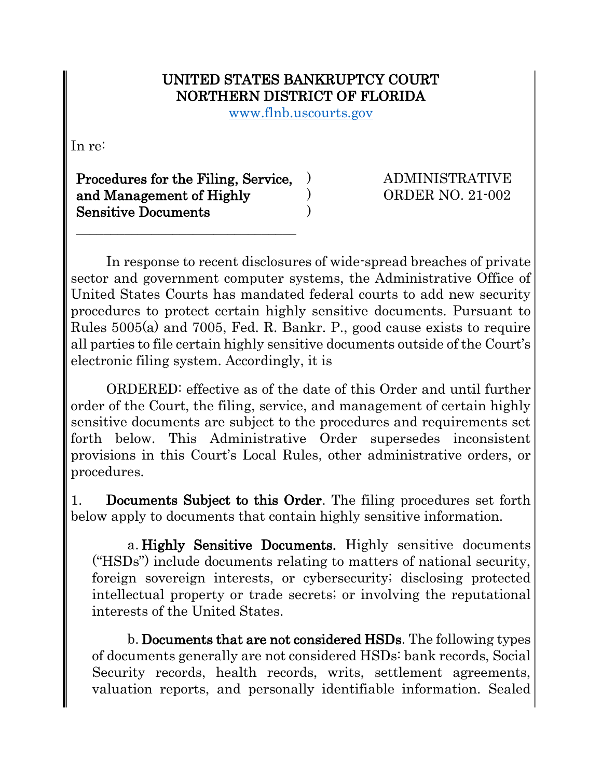## UNITED STATES BANKRUPTCY COURT NORTHERN DISTRICT OF FLORIDA

www.flnb.uscourts.gov

) ) )

In re:

Procedures for the Filing, Service, and Management of Highly Sensitive Documents

\_\_\_\_\_\_\_\_\_\_\_\_\_\_\_\_\_\_\_\_\_\_\_\_\_\_\_\_\_\_\_\_

ADMINISTRATIVE ORDER NO. 21-002

In response to recent disclosures of wide-spread breaches of private sector and government computer systems, the Administrative Office of United States Courts has mandated federal courts to add new security procedures to protect certain highly sensitive documents. Pursuant to Rules 5005(a) and 7005, Fed. R. Bankr. P., good cause exists to require all parties to file certain highly sensitive documents outside of the Court's electronic filing system. Accordingly, it is

ORDERED: effective as of the date of this Order and until further order of the Court, the filing, service, and management of certain highly sensitive documents are subject to the procedures and requirements set forth below. This Administrative Order supersedes inconsistent provisions in this Court's Local Rules, other administrative orders, or procedures.

1. Documents Subject to this Order. The filing procedures set forth below apply to documents that contain highly sensitive information.

a. Highly Sensitive Documents. Highly sensitive documents ("HSDs") include documents relating to matters of national security, foreign sovereign interests, or cybersecurity; disclosing protected intellectual property or trade secrets; or involving the reputational interests of the United States.

b. Documents that are not considered HSDs. The following types of documents generally are not considered HSDs: bank records, Social Security records, health records, writs, settlement agreements, valuation reports, and personally identifiable information. Sealed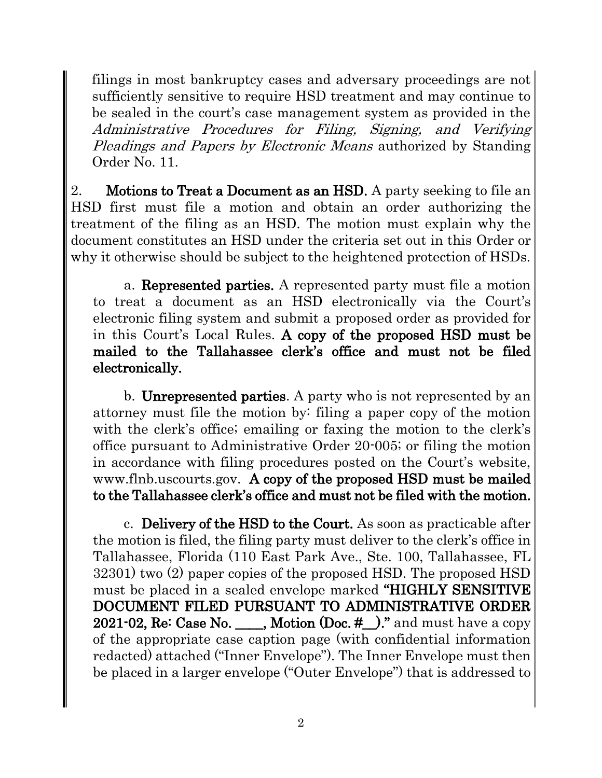filings in most bankruptcy cases and adversary proceedings are not sufficiently sensitive to require HSD treatment and may continue to be sealed in the court's case management system as provided in the Administrative Procedures for Filing, Signing, and Verifying Pleadings and Papers by Electronic Means authorized by Standing Order No. 11.

2. Motions to Treat a Document as an HSD. A party seeking to file an HSD first must file a motion and obtain an order authorizing the treatment of the filing as an HSD. The motion must explain why the document constitutes an HSD under the criteria set out in this Order or why it otherwise should be subject to the heightened protection of HSDs.

a. Represented parties. A represented party must file a motion to treat a document as an HSD electronically via the Court's electronic filing system and submit a proposed order as provided for in this Court's Local Rules. A copy of the proposed HSD must be mailed to the Tallahassee clerk's office and must not be filed electronically.

b. Unrepresented parties. A party who is not represented by an attorney must file the motion by: filing a paper copy of the motion with the clerk's office; emailing or faxing the motion to the clerk's office pursuant to Administrative Order 20-005; or filing the motion in accordance with filing procedures posted on the Court's website, www.flnb.uscourts.gov. A copy of the proposed HSD must be mailed to the Tallahassee clerk's office and must not be filed with the motion.

c. Delivery of the HSD to the Court. As soon as practicable after the motion is filed, the filing party must deliver to the clerk's office in Tallahassee, Florida (110 East Park Ave., Ste. 100, Tallahassee, FL 32301) two (2) paper copies of the proposed HSD. The proposed HSD must be placed in a sealed envelope marked "HIGHLY SENSITIVE DOCUMENT FILED PURSUANT TO ADMINISTRATIVE ORDER 2021-02, Re: Case No. \_\_\_\_, Motion  $(Doc. #$ ...)." and must have a copy of the appropriate case caption page (with confidential information redacted) attached ("Inner Envelope"). The Inner Envelope must then be placed in a larger envelope ("Outer Envelope") that is addressed to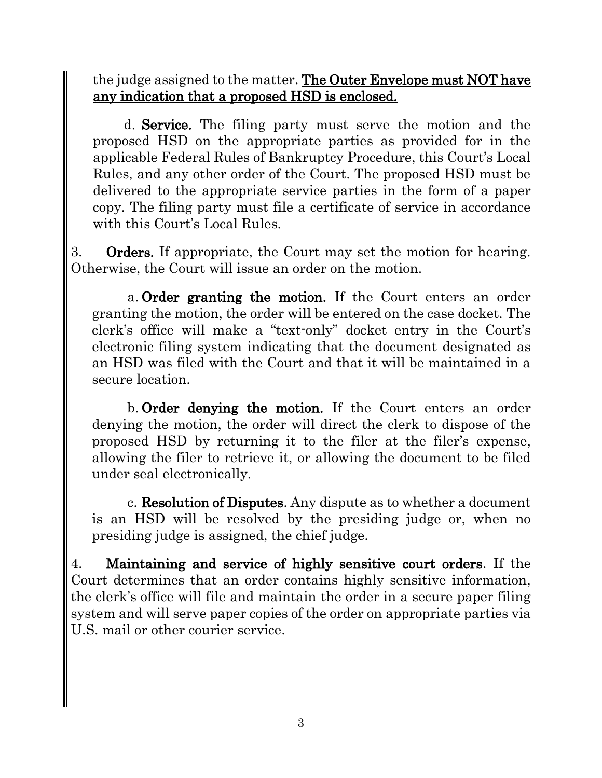the judge assigned to the matter. The Outer Envelope must NOT have any indication that a proposed HSD is enclosed.

d. Service. The filing party must serve the motion and the proposed HSD on the appropriate parties as provided for in the applicable Federal Rules of Bankruptcy Procedure, this Court's Local Rules, and any other order of the Court. The proposed HSD must be delivered to the appropriate service parties in the form of a paper copy. The filing party must file a certificate of service in accordance with this Court's Local Rules.

3. Orders. If appropriate, the Court may set the motion for hearing. Otherwise, the Court will issue an order on the motion.

a. Order granting the motion. If the Court enters an order granting the motion, the order will be entered on the case docket. The clerk's office will make a "text-only" docket entry in the Court's electronic filing system indicating that the document designated as an HSD was filed with the Court and that it will be maintained in a secure location.

b. Order denying the motion. If the Court enters an order denying the motion, the order will direct the clerk to dispose of the proposed HSD by returning it to the filer at the filer's expense, allowing the filer to retrieve it, or allowing the document to be filed under seal electronically.

c. Resolution of Disputes. Any dispute as to whether a document is an HSD will be resolved by the presiding judge or, when no presiding judge is assigned, the chief judge.

4. Maintaining and service of highly sensitive court orders. If the Court determines that an order contains highly sensitive information, the clerk's office will file and maintain the order in a secure paper filing system and will serve paper copies of the order on appropriate parties via U.S. mail or other courier service.